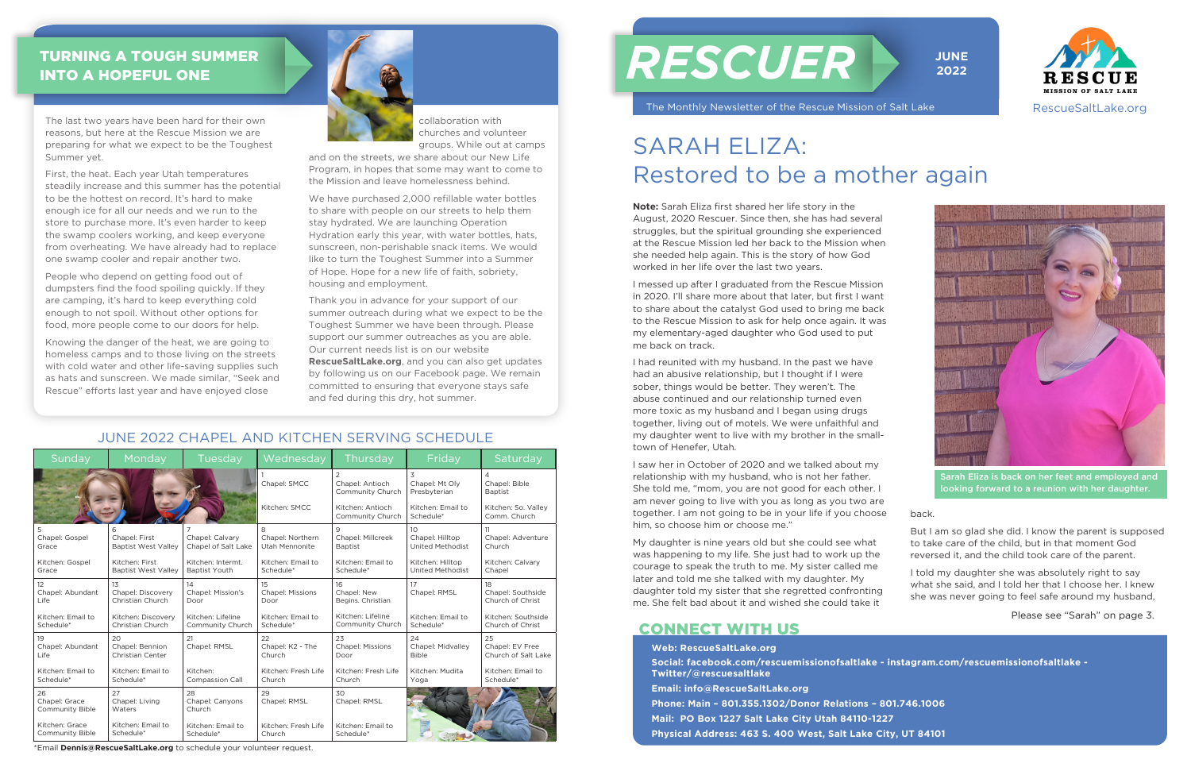#### Sunday | Monday | Tuesday | Wednesday | Thursday | Friday | Saturday 1 Chapel: SMCC Kitchen: SMCC 2 Chapel: Antioch Community Church Kitchen: Antioch Community Church 3 Chapel: Mt Oly Presbyterian Kitchen: Email to Schedule\* 4 Chapel: Bible **Baptist** Kitchen: So. Valley Comm. Church 5 Chapel: Gospel Grace Kitchen: Gospel Grace 6 Chapel: First Baptist West Valley Kitchen: First Baptist West Valley 7 Chapel: Calvary Chapel of Salt Lake Kitchen: Intermt. Baptist Youth 8 Chapel: Northern Utah Mennonite Kitchen: Email to Schedule\* 9 Chapel: Millcreek Baptist Kitchen: Email to Schedule\* 10 Chapel: Hilltop United Methodist Kitchen: Hilltop United Methodist 11 Chapel: Adventure Church Kitchen: Calvary Chanel 12 Chapel: Abundant Life Kitchen: Email to Schedule<sup>\*</sup> 13 Chanel: Discovery Christian Church Kitchen: Discovery Christian Church 14 Chapel: Mission's Door Kitchen: Lifeline Community Church 15 Chapel: Missions Door Kitchen: Email to **Schedule** 16 Chapel: New Begins. Christian Kitchen: Lifeline Community Church 17 Chapel: RMSL Kitchen: Email to Schedule\* 18 Chapel: Southside Church of Christ Kitchen: Southside Church of Christ 19 Chapel: Abundant Life Kitchen: Email to Schedule\* 20 Chapel: Bennion Christian Center Kitchen: Email to Schedule\* 21 Chapel: RMSL Kitchen: Compassion Call 22 Chapel: K2 - The Church Kitchen: Fresh Life Church 23 Chapel: Missions Door Kitchen: Fresh Life Church 24 Chapel: Midvalley Bible Kitchen: Mudita Yoga 25 Chapel: EV Free Church of Salt Lake Kitchen: Email to Schedule\* 26 Chapel: Grace Community Bible Kitchen: Grace Community Bible 27 Chapel: Living **Waters** Kitchen: Email to **Schedule** 28 Chapel: Canyons Church Kitchen: Email to Schedule\* 29 Chapel: RMSL Kitchen: Fresh Life Church  $30$ Chapel: RMSL Kitchen: Email to Schedule\*

**Note:** Sarah Eliza first shared her life story in the August, 2020 Rescuer. Since then, she has had several struggles, but the spiritual grounding she experienced at the Rescue Mission led her back to the Mission when she needed help again. This is the story of how God worked in her life over the last two years.

I messed up after I graduated from the Rescue Mission in 2020. I'll share more about that later, but first I want to share about the catalyst God used to bring me back to the Rescue Mission to ask for help once again. It was my elementary-aged daughter who God used to put me back on track.

#### TURNING A TOUGH SUMMER INTO A HOPEFUL ONE

I had reunited with my husband. In the past we have had an abusive relationship, but I thought if I were sober, things would be better. They weren't. The abuse continued and our relationship turned even more toxic as my husband and I began using drugs together, living out of motels. We were unfaithful and my daughter went to live with my brother in the smalltown of Henefer, Utah.

I saw her in October of 2020 and we talked about my relationship with my husband, who is not her father. She told me, "mom, you are not good for each other. I am never going to live with you as long as you two are together. I am not going to be in your life if you choose him, so choose him or choose me."

My daughter is nine years old but she could see what was happening to my life. She just had to work up the courage to speak the truth to me. My sister called me later and told me she talked with my daughter. My daughter told my sister that she regretted confronting me. She felt bad about it and wished she could take it

back.

But I am so glad she did. I know the parent is supposed to take care of the child, but in that moment God reversed it, and the child took care of the parent.

I told my daughter she was absolutely right to say what she said, and I told her that I choose her. I knew she was never going to feel safe around my husband,

## SARAH ELIZA: Restored to be a mother again

The last two years have been hard for their own reasons, but here at the Rescue Mission we are preparing for what we expect to be the Toughest Summer yet.

First, the heat. Each year Utah temperatures steadily increase and this summer has the potential to be the hottest on record. It's hard to make enough ice for all our needs and we run to the store to purchase more. It's even harder to keep the swamp coolers working, and keep everyone from overheating. We have already had to replace one swamp cooler and repair another two.

People who depend on getting food out of dumpsters find the food spoiling quickly. If they are camping, it's hard to keep everything cold enough to not spoil. Without other options for food, more people come to our doors for help.

Knowing the danger of the heat, we are going to homeless camps and to those living on the streets with cold water and other life-saving supplies such as hats and sunscreen. We made similar, "Seek and Rescue" efforts last year and have enjoyed close



# *RESCUER*

The Monthly Newsletter of the Rescue Mission of Salt Lake







JUNE 2022 CHAPEL AND KITCHEN SERVING SCHEDULE

Please see "Sarah" on page 3.

Sarah Eliza is back on her feet and employed and looking forward to a reunion with her daughter.

\*Email **Dennis@RescueSaltLake.org** to schedule your volunteer request.

collaboration with churches and volunteer groups. While out at camps

and on the streets, we share about our New Life Program, in hopes that some may want to come to the Mission and leave homelessness behind.

We have purchased 2,000 refillable water bottles to share with people on our streets to help them stay hydrated. We are launching Operation Hydration early this year, with water bottles, hats, sunscreen, non-perishable snack items. We would like to turn the Toughest Summer into a Summer of Hope. Hope for a new life of faith, sobriety, housing and employment.

Thank you in advance for your support of our summer outreach during what we expect to be the Toughest Summer we have been through. Please support our summer outreaches as you are able. Our current needs list is on our website **RescueSaltLake.org**, and you can also get updates by following us on our Facebook page. We remain committed to ensuring that everyone stays safe and fed during this dry, hot summer.

> **Web: RescueSaltLake.org Social: facebook.com/rescuemissionofsaltlake - instagram.com/rescuemissionofsaltlake - Twitter/@rescuesaltlake Email: info@RescueSaltLake.org Phone: Main – 801.355.1302/Donor Relations – 801.746.1006 Mail: PO Box 1227 Salt Lake City Utah 84110-1227 Physical Address: 463 S. 400 West, Salt Lake City, UT 84101**

#### CONNECT WITH US